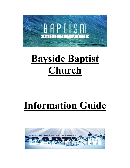

# **Bayside Baptist Church**

# **Information Guide**

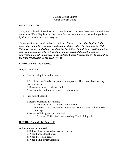#### Bayside Baptist Church Water Baptism Guide

# **INTRODUCTION**

Today we will study the ordinance of water baptism. The New Testament church has two ordinances: Water Baptism and the Lord's Supper. An ordinance is something ordained by God for us as believers to carry out.

This is a statement from The Baptist Faith and Message, *"Christian baptism is the immersion of a believer in water in the name of the Father, the Son, and the Holy Spirit. It is an act of obedience symbolizing the believer's faith in a crucified, buried,* and risen Savior, the believer's death to sin, the burial of the old life and the *resurrection to walk in newness of life in Jesus Christ. It is a testimony to his faith in the final resurrection of the dead***."(**p.14)

# **I. WHY Should I Be Baptized?**

Why do we do this?

A. I am not being baptized in order to:

1. To please my friends, my parents or my pastor. This is not about seeking man's approval

- 2. Because my church believes in it.
- 3. Not to fulfill tradition or follow a religious form.
- B. I am being baptized:
	- 1. Because Christ is my example

a) Matthew  $3:13-17-1$  identify with Him

b) I Peter  $2:21$  – Leaving us an example that we should follow in His footsteps.

2. Because Christ gave His command

a) Matthew  $28:19-20 - I$  desire to obey Him in doing this

# **II. WHEN Should I Be Baptized?**

A. I should not be baptized:

- 1. Before I have accepted Jesus as my Savior.
- 2. When I understand better.
- 3. When I feel I am ready.
- 4. When I am a better Christian.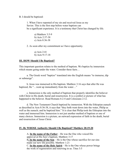#### B. I should be baptized:

1. When I have repented of my sin and received Jesus as my Savior. This is the first step before water baptism can be a significant experience. It is a testimony that Christ has changed by life.

a) Matthew 3:5-9 b) Acts 2:37-38 c) Acts 8:36-38

2. As soon after my commitment as I have opportunity.

a) Acts 2:41 b) Acts 9:17-18

#### **III. HOW Should I Be Baptized?**

This important question relates to the method of baptism. We baptize by immersion which means going under the water. Consider these facts...

a. The Greek word "baptizo" translated into the English means "to immerse, dip or submerge".

b. Jesus was immersed in His baptism. Matthew 3:16 says that after He was baptized, He "...went up immediately from the water..."

c. Immersion is the only method of baptism that properly identifies the believer with Christ in His death, burial and resurrection. It is a symbol or picture of what has happened to the believer. Read Romans 6:2-4 and Colossians 2:12.

d. The New Testament Church baptized by immersion. With the Ethiopian eunuch as described in Acts 8:36-38, it says that "they both went down into the water, Philip as well as the eunuch; and he baptized him.<sup>\*</sup> It is clear that Philip took the Ethiopian into the water and immersed him. Immersion is not just another method of baptism or one of many choices. Immersion is a picture, an outward expression of faith in the death, burial and resurrection of Jesus Christ.

#### **IV. By WHOSE Authority Should I Be Baptized? Matthew 28:19-20**

A. **In the name of the Father** – He was the One who voiced His approval at His Son's baptism. Matthew  $3:17$ **B. In the name of the Son** – He is the One whose sacrifice for our sins made our new life possible. Matthew 1:21

C. In the name of the Holy Spirit – He is the One whose power brings the work of regeneration and renewing in us. Titus 3:5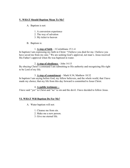# **V. WHAT Should Baptism Mean To Me?**

A. Baptism is not:

- 1. A conversion experience
- 2. The way of salvation
- 3. My ticket to heaven
- B. Baptism is:

# 1.  $\Delta$  step of faith  $-$  I Corinthians 15:1-4

In baptism I am expressing my faith in Christ: "I believe you died for me. I believe you have saved me from my sins." We are seeking God's approval, not man's. Jesus received His Father's approval when He was baptized in water.

#### 2. **A step of obedience**  $-$  John 14:15

By obeying Christ's command I am submitting to His authority and recognizing His right to be Lord of my life.

#### 3. A step of commitment  $-$  Mark 8:34; Matthew 10:32

In baptism I am saying before God, my fellow believers, and the whole world, that I have made my choice; that my life from this day forward is committed to Jesus Christ.

#### 4. **A public testimony –**

I have said "yes" to Christ and "no" to sin and the devil. I have decided to follow Jesus.

# **VI. WHAT Will Baptism Do For Me?**

- A. Water baptism will not:
	- 1. Cleanse me from sin.
	- 2. Make me a new person.
	- 3. Give me eternal life.